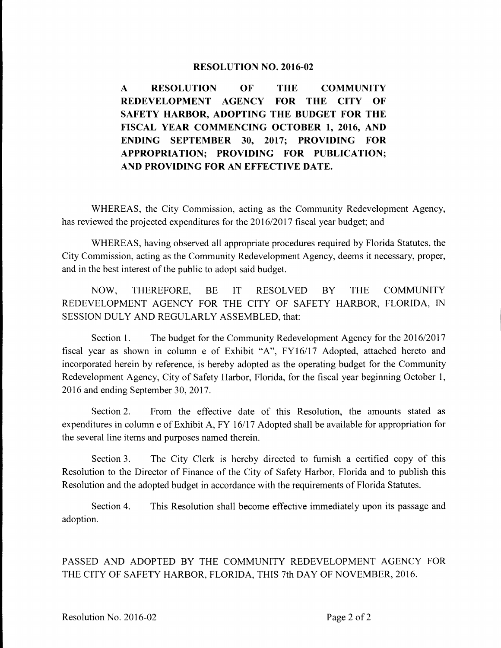## **RESOLUTION NO. 2016-02**

**A RESOLUTION OF THE COMMUNITY REDEVELOPMENT AGENCY FOR THE CITY OF SAFETY HARBOR, ADOPTING THE BUDGET FOR THE FISCAL YEAR COMMENCING OCTOBER 1, 2016, AND ENDING SEPTEMBER 30, 2017; PROVIDING FOR APPROPRIATION; PROVIDING FOR PUBLICATION; AND PROVIDING FOR AN EFFECTIVE DATE.** 

WHEREAS, the City Commission, acting as the Community Redevelopment Agency, has reviewed the projected expenditures for the 2016/2017 fiscal year budget; and

WHEREAS, having observed all appropriate procedures required by Florida Statutes, the City Commission, acting as the Community Redevelopment Agency, deems it necessary, proper, and in the best interest of the public to adopt said budget.

NOW, THEREFORE, BE IT RESOLVED BY THE COMMUNITY REDEVELOPMENT AGENCY FOR THE CITY OF SAFETY HARBOR, FLORIDA, IN SESSION DULY AND REGULARLY ASSEMBLED, that:

Section 1. The budget for the Community Redevelopment Agency for the 2016/2017 fiscal year as shown in column e of Exhibit "A", FY16/17 Adopted, attached hereto and incorporated herein by reference, is hereby adopted as the operating budget for the Community Redevelopment Agency, City of Safety Harbor, Florida, for the fiscal year beginning October 1, 2016 and ending September 30, 2017.

Section 2. From the effective date of this Resolution, the amounts stated as expenditures in column e of Exhibit A, FY 16/17 Adopted shall be available for appropriation for the several line items and purposes named therein.

Section 3. The City Clerk is hereby directed to furnish a certified copy of this Resolution to the Director of Finance of the City of Safety Harbor, Florida and to publish this Resolution and the adopted budget in accordance with the requirements of Florida Statutes.

Section 4. This Resolution shall become effective immediately upon its passage and adoption.

PASSED AND ADOPTED BY THE COMMUNITY REDEVELOPMENT AGENCY FOR THE CITY OF SAFETY HARBOR, FLORIDA, THIS 7th DAY OF NOVEMBER, 2016.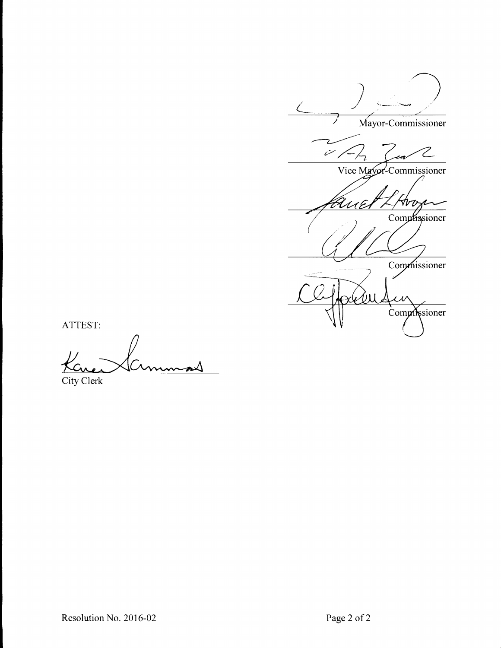Mayor-Commissioner

 $\tilde{\mathscr{C}}$  $\overline{\mathbf{z}}$ 

Vice Mayor-Commissioner

Arv Comphissioner

Commissioner

x, Commissioner

ATTEST:

City Clerk